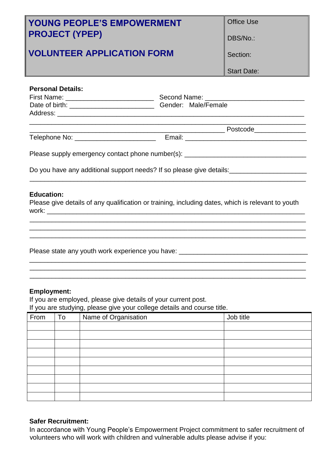| <b>YOUNG PEOPLE'S EMPOWERMENT</b><br><b>PROJECT (YPEP)</b>                                                                                                      |  | <b>Office Use</b>                                                                                                    |  |
|-----------------------------------------------------------------------------------------------------------------------------------------------------------------|--|----------------------------------------------------------------------------------------------------------------------|--|
|                                                                                                                                                                 |  | DBS/No.:                                                                                                             |  |
| <b>VOLUNTEER APPLICATION FORM</b>                                                                                                                               |  | Section:                                                                                                             |  |
|                                                                                                                                                                 |  | <b>Start Date:</b>                                                                                                   |  |
| <b>Personal Details:</b>                                                                                                                                        |  |                                                                                                                      |  |
|                                                                                                                                                                 |  |                                                                                                                      |  |
|                                                                                                                                                                 |  |                                                                                                                      |  |
|                                                                                                                                                                 |  |                                                                                                                      |  |
| Please supply emergency contact phone number(s): _______________________________                                                                                |  |                                                                                                                      |  |
| Do you have any additional support needs? If so please give details:___________________                                                                         |  |                                                                                                                      |  |
| <b>Education:</b><br>Please give details of any qualification or training, including dates, which is relevant to youth                                          |  |                                                                                                                      |  |
|                                                                                                                                                                 |  | <u> 1989 - Andrea Santa Alemania, amerikana amerikana amerikana amerikana amerikana amerikana amerikana amerikan</u> |  |
| Please state any youth work experience you have: ________________________________                                                                               |  |                                                                                                                      |  |
| <b>Employment:</b><br>If you are employed, please give details of your current post.<br>If you are studying, please give your college details and course title. |  |                                                                                                                      |  |

| $\overline{\phantom{a}}$<br>From | To | <u>.</u><br>$\sim$ $\sim$<br>Name of Organisation | Job title |
|----------------------------------|----|---------------------------------------------------|-----------|
|                                  |    |                                                   |           |
|                                  |    |                                                   |           |
|                                  |    |                                                   |           |
|                                  |    |                                                   |           |
|                                  |    |                                                   |           |
|                                  |    |                                                   |           |
|                                  |    |                                                   |           |
|                                  |    |                                                   |           |
|                                  |    |                                                   |           |

## **Safer Recruitment:**

In accordance with Young People's Empowerment Project commitment to safer recruitment of volunteers who will work with children and vulnerable adults please advise if you: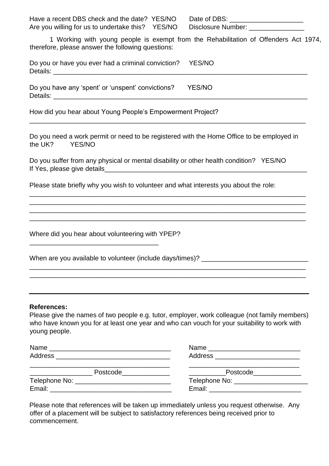| Have a recent DBS check and the date? YES/NO     | Date of DBS:       |
|--------------------------------------------------|--------------------|
| Are you willing for us to undertake this? YES/NO | Disclosure Number: |

1 Working with young people is exempt from the Rehabilitation of Offenders Act 1974, therefore, please answer the following questions:

Do you or have you ever had a criminal conviction? YES/NO Details: \_\_\_\_\_\_\_\_\_\_\_\_\_\_\_\_\_\_\_\_\_\_\_\_\_\_\_\_\_\_\_\_\_\_\_\_\_\_\_\_\_\_\_\_\_\_\_\_\_\_\_\_\_\_\_\_\_\_\_\_\_\_\_\_\_\_\_\_\_

Do you have any 'spent' or 'unspent' convictions? YES/NO Details: \_\_\_\_\_\_\_\_\_\_\_\_\_\_\_\_\_\_\_\_\_\_\_\_\_\_\_\_\_\_\_\_\_\_\_\_\_\_\_\_\_\_\_\_\_\_\_\_\_\_\_\_\_\_\_\_\_\_\_\_\_\_\_\_\_\_\_\_\_

How did you hear about Young People's Empowerment Project?

Do you need a work permit or need to be registered with the Home Office to be employed in the UK? YES/NO YES/NO

\_\_\_\_\_\_\_\_\_\_\_\_\_\_\_\_\_\_\_\_\_\_\_\_\_\_\_\_\_\_\_\_\_\_\_\_\_\_\_\_\_\_\_\_\_\_\_\_\_\_\_\_\_\_\_\_\_\_\_\_\_\_\_\_\_\_\_\_\_\_\_\_\_\_\_ \_\_\_\_\_\_\_\_\_\_\_\_\_\_\_\_\_\_\_\_\_\_\_\_\_\_\_\_\_\_\_\_\_\_\_\_\_\_\_\_\_\_\_\_\_\_\_\_\_\_\_\_\_\_\_\_\_\_\_\_\_\_\_\_\_\_\_\_\_\_\_\_\_\_\_ \_\_\_\_\_\_\_\_\_\_\_\_\_\_\_\_\_\_\_\_\_\_\_\_\_\_\_\_\_\_\_\_\_\_\_\_\_\_\_\_\_\_\_\_\_\_\_\_\_\_\_\_\_\_\_\_\_\_\_\_\_\_\_\_\_\_\_\_\_\_\_\_\_\_\_ \_\_\_\_\_\_\_\_\_\_\_\_\_\_\_\_\_\_\_\_\_\_\_\_\_\_\_\_\_\_\_\_\_\_\_\_\_\_\_\_\_\_\_\_\_\_\_\_\_\_\_\_\_\_\_\_\_\_\_\_\_\_\_\_\_\_\_\_\_\_\_\_\_\_\_

\_\_\_\_\_\_\_\_\_\_\_\_\_\_\_\_\_\_\_\_\_\_\_\_\_\_\_\_\_\_\_\_\_\_\_\_\_\_\_\_\_\_\_\_\_\_\_\_\_\_\_\_\_\_\_\_\_\_\_\_\_\_\_\_\_\_\_\_\_\_\_\_\_\_\_

| Do you suffer from any physical or mental disability or other health condition? YES/NO |  |
|----------------------------------------------------------------------------------------|--|
| If Yes, please give details                                                            |  |

Please state briefly why you wish to volunteer and what interests you about the role:

Where did you hear about volunteering with YPEP?

\_\_\_\_\_\_\_\_\_\_\_\_\_\_\_\_\_\_\_\_\_\_\_\_\_\_\_\_\_\_\_\_\_\_\_

| When are you available to volunteer (include days/times)? |  |
|-----------------------------------------------------------|--|
|-----------------------------------------------------------|--|

## **References:**

Please give the names of two people e.g. tutor, employer, work colleague (not family members) who have known you for at least one year and who can vouch for your suitability to work with young people.

\_\_\_\_\_\_\_\_\_\_\_\_\_\_\_\_\_\_\_\_\_\_\_\_\_\_\_\_\_\_\_\_\_\_\_\_\_\_\_\_\_\_\_\_\_\_\_\_\_\_\_\_\_\_\_\_\_\_\_\_\_\_\_\_\_\_\_\_\_\_\_\_\_\_\_ \_\_\_\_\_\_\_\_\_\_\_\_\_\_\_\_\_\_\_\_\_\_\_\_\_\_\_\_\_\_\_\_\_\_\_\_\_\_\_\_\_\_\_\_\_\_\_\_\_\_\_\_\_\_\_\_\_\_\_\_\_\_\_\_\_\_\_\_\_\_\_\_\_\_\_

| Name<br><u> 1989 - Johann Stoff, deutscher Stoff, der Stoff, der Stoff, der Stoff, der Stoff, der Stoff, der Stoff, der S</u> |                                    |  |
|-------------------------------------------------------------------------------------------------------------------------------|------------------------------------|--|
|                                                                                                                               | Address ________________________   |  |
| Postcode                                                                                                                      | Postcode   ______________          |  |
|                                                                                                                               | Telephone No: ____________________ |  |
| Email: Email: Albert March 2007                                                                                               | Email: ______________________      |  |

Please note that references will be taken up immediately unless you request otherwise. Any offer of a placement will be subject to satisfactory references being received prior to commencement.